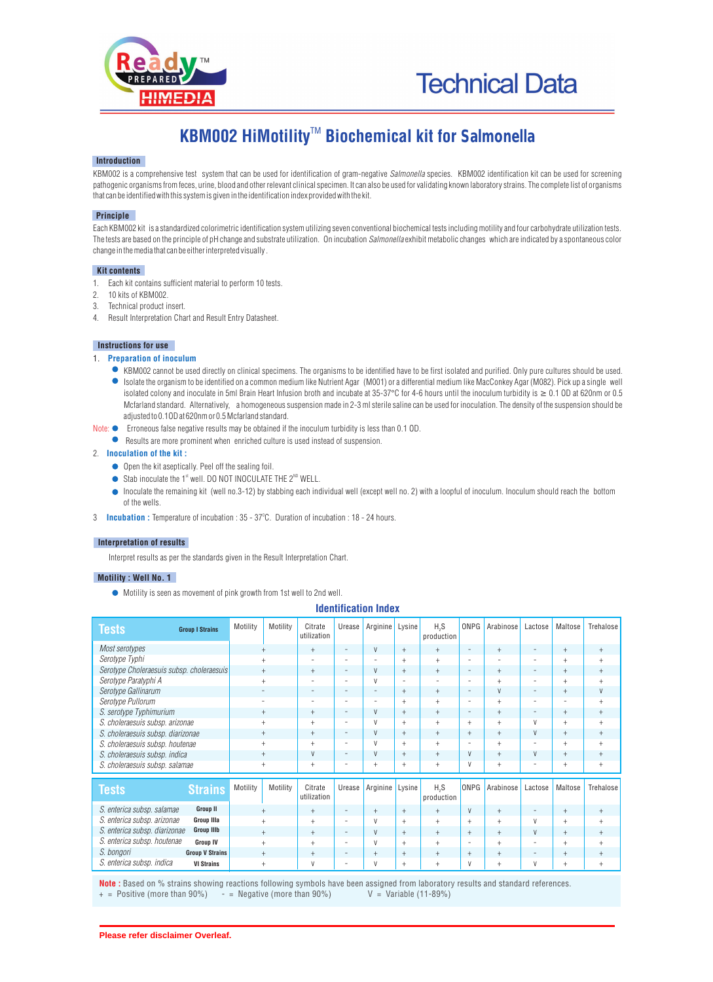

# KBM002 HiMotility<sup>™</sup> Biochemical kit for Salmonella

## **Introduction**

KBM002 is a comprehensive test system that can be used for identification of gram-negative *Salmonella* species. KBM002 identification kit can be used for screening pathogenic organisms from feces, urine, blood and other relevant clinical specimen. It can also be used for validating known laboratory strains. The complete list of organisms that can be identified with this system is given in the identification index provided with the kit.

# **Principle**

Each KBM002 kit is a standardized colorimetric identification system utilizing seven conventional biochemical tests including motility and four carbohydrate utilization tests. The tests are based on the principle of pH change and substrate utilization. On incubation *Salmonella* exhibit metabolic changes which are indicated by a spontaneous color change in the media that can be either interpreted visually .

## **Kit contents**

- 1. Each kit contains sufficient material to perform 10 tests.
- 2. 10 kits of KBM002.
- 3. Technical product insert.
- 4. Result Interpretation Chart and Result Entry Datasheet.

# **Instructions for use**

## 1. **Preparation of inoculum**

- KBM002 cannot be used directly on clinical specimens. The organisms to be identified have to be first isolated and purified. Only pure cultures should be used. Isolate the organism to be identified on a common medium like Nutrient Agar (M001) or a differential medium like MacConkey Agar (M082). Pick up a single well isolated colony and inoculate in 5ml Brain Heart Infusion broth and incubate at 35-37°C for 4-6 hours until the inoculum turbidity is  $\geq 0.1$  OD at 620nm or 0.5 Mcfarland standard. Alternatively, a homogeneous suspension made in 2-3 ml sterile saline can be used for inoculation. The density of the suspension should be adjusted to 0.1OD at 620nm or 0.5 Mcfarland standard.
- Note:  $\bullet$  Erroneous false negative results may be obtained if the inoculum turbidity is less than 0.1 OD.
	- Results are more prominent when enriched culture is used instead of suspension.

# 2. **Inoculation of the kit :**

- $\bullet$  Open the kit aseptically. Peel off the sealing foil.
- Stab inoculate the 1 $\mathrm{N}^{\mathrm{st}}$  well. DO NOT INOCULATE THE 2 $\mathrm{N}^{\mathrm{D}}$  WELL.
- Inoculate the remaining kit (well no.3-12) by stabbing each individual well (except well no. 2) with a loopful of inoculum. Inoculum should reach the bottom of the wells.
- 3 **Incubation :** Temperature of incubation : 35 37°C. Duration of incubation : 18 24 hours.

# **Interpretation of results**

Interpret results as per the standards given in the Result Interpretation Chart.

#### **Motility : Well No. 1**

Motility is seen as movement of pink growth from 1st well to 2nd well.

| IUGIILIIILALIVII IIIUGA                            |                          |                                    |                          |                   |                          |                                  |                          |                                  |                          |         |           |
|----------------------------------------------------|--------------------------|------------------------------------|--------------------------|-------------------|--------------------------|----------------------------------|--------------------------|----------------------------------|--------------------------|---------|-----------|
| <b>Tests</b><br><b>Group I Strains</b>             | Motility                 | Motility<br>Citrate<br>utilization | Urease                   | Arginine          | Lysine                   | H <sub>2</sub> S<br>production   | ONPG                     | Arabinose                        | Lactose                  | Maltose | Trehalose |
| Most serotypes                                     | $+$                      | $+$                                | $\overline{\phantom{a}}$ | V                 | $^{+}$                   | $+$                              | $\overline{\phantom{a}}$ | $+$                              | $\overline{\phantom{a}}$ | $+$     | $+$       |
| Serotype Typhi                                     | $+$                      | $\overline{\phantom{0}}$           |                          |                   | $+$                      | $+$                              | $\overline{\phantom{a}}$ | $\overline{a}$                   | $\overline{\phantom{a}}$ | $^{+}$  | $\ddot{}$ |
| Serotype Choleraesuis subsp. choleraesuis          | $+$                      | $+$                                | $\overline{\phantom{0}}$ | V                 | $^{+}$                   | $+$                              | $\overline{\phantom{a}}$ | $+$                              | $\overline{\phantom{a}}$ | $+$     | $+$       |
| Serotype Paratyphi A                               | $+$                      |                                    |                          | V                 | $\overline{\phantom{a}}$ |                                  | $\overline{\phantom{a}}$ | $+$                              | $\overline{\phantom{a}}$ | $^{+}$  | $^{+}$    |
| Serotype Gallinarum                                | $\overline{\phantom{a}}$ | $\overline{\phantom{a}}$           | -                        | $\qquad \qquad -$ | $^{+}$                   | $+$                              | -                        | V                                | $\overline{\phantom{a}}$ | $^{+}$  | V         |
| Serotype Pullorum                                  |                          | $\overline{\phantom{0}}$           | $\overline{\phantom{a}}$ | ٠                 | $+$                      | $+$                              | $\overline{\phantom{a}}$ | $+$                              | $\overline{\phantom{a}}$ |         | $+$       |
| S. serotype Typhimurium                            | $^{+}$                   | $\begin{array}{c} + \end{array}$   | -                        | V                 | $+$                      | $\begin{array}{c} + \end{array}$ | $\overline{\phantom{a}}$ | $\begin{array}{c} + \end{array}$ | $\overline{\phantom{a}}$ | $+$     | $+$       |
| S. choleraesuis subsp. arizonae                    | $+$                      | $^{+}$                             | $\overline{\phantom{a}}$ | V                 | $+$                      | $+$                              | $+$                      | $+$                              | V                        | $+$     | $+$       |
| S. choleraesuis subsp. diarizonae                  | $+$                      | $^{+}$                             | $\overline{\phantom{a}}$ | V                 | $+$                      | $+$                              | $+$                      | $+$                              | V                        | $+$     | $+$       |
| S. choleraesuis subsp. houtenae                    | $+$                      | $^{+}$                             | $\overline{\phantom{a}}$ | V                 | $+$                      | $+$                              | $\overline{\phantom{a}}$ | $+$                              | $\overline{\phantom{a}}$ | $+$     | $\ddot{}$ |
| S. choleraesuis subsp. indica                      | $+$                      | V                                  | $\overline{\phantom{a}}$ | V                 | $+$                      | $+$                              | V                        | $+$                              | $\mathsf{V}$             | $+$     | $+$       |
| S. choleraesuis subsp. salamae                     | $+$                      | $^{+}$                             | $\overline{\phantom{0}}$ | $+$               | $+$                      | $+$                              | V                        | $+$                              | $\overline{\phantom{a}}$ | $+$     | $^{+}$    |
| <b>Tests</b><br><b>Strains</b>                     | Motility                 | Motility<br>Citrate<br>utilization | Urease                   | Arginine          | Lysine                   | H <sub>3</sub> S<br>production   | ONPG                     | Arabinose                        | Lactose                  | Maltose | Trehalose |
| S. enterica subsp. salamae<br><b>Group II</b>      | $+$                      | $+$                                | $\overline{\phantom{m}}$ | $+$               | $+$                      | $+$                              | V                        | $+$                              | $\overline{\phantom{a}}$ | $+$     | $^{+}$    |
| S. enterica subsp. arizonae<br><b>Group IIIa</b>   | $+$                      | $^{+}$                             |                          | V                 | $+$                      | $+$                              | $+$                      | $+$                              | V                        | $+$     | $^{+}$    |
| S. enterica subsp. diarizonae<br><b>Group IIIb</b> | $+$                      | $^{+}$                             | $\overline{\phantom{a}}$ | V                 | $+$                      | $+$                              | $+$                      | $+$                              | V                        | $+$     | $+$       |
| S. enterica subsp. houtenae<br><b>Group IV</b>     | $+$                      | $^{+}$                             |                          | V                 | $+$                      | $+$                              | $\overline{\phantom{m}}$ | $+$                              | $\overline{\phantom{m}}$ | $^{+}$  | $^{+}$    |
| S. bongori<br><b>Group V Strains</b>               | $+$                      | $^{+}$                             | $\overline{\phantom{m}}$ | $+$               | $+$                      | $+$                              | $+$                      | $+$                              | $\overline{\phantom{a}}$ | $+$     | $^{+}$    |
| S. enterica subsp. indica<br><b>VI Strains</b>     | $+$                      | V                                  |                          | V                 | $^{+}$                   | $^{+}$                           | V                        | $+$                              | V                        | $^{+}$  | $^{+}$    |

**Identification Index**

**Note :** Based on % strains showing reactions following symbols have been assigned from laboratory results and standard references.<br>+ = Positive (more than 90%) - = Negative (more than 90%) V = Variable (11-89%)  $-$  = Negative (more than 90%)